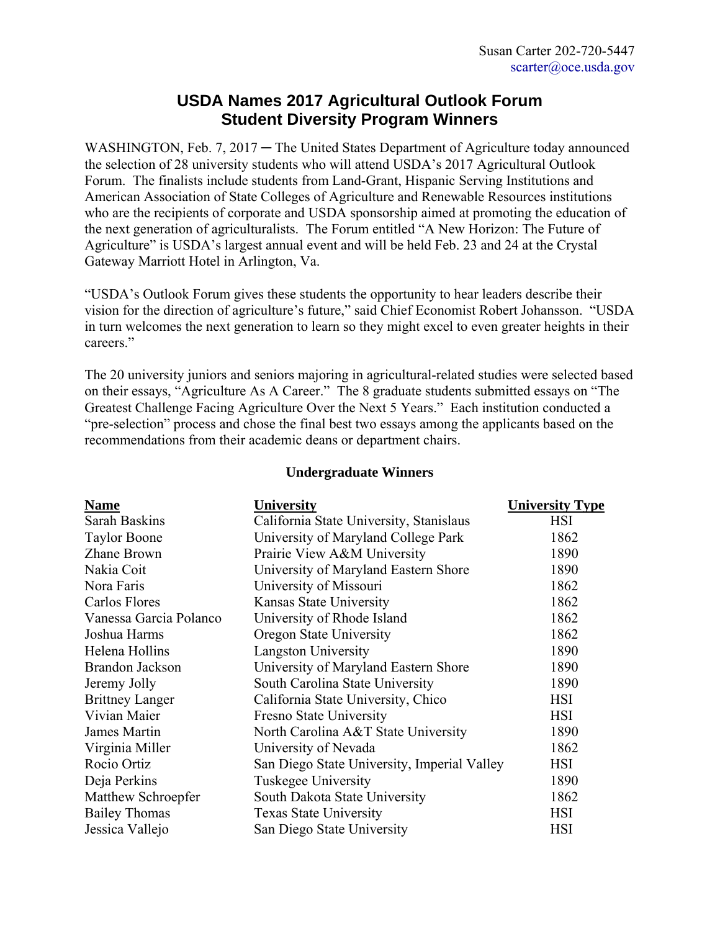## **USDA Names 2017 Agricultural Outlook Forum Student Diversity Program Winners**

WASHINGTON, Feb. 7, 2017 – The United States Department of Agriculture today announced the selection of 28 university students who will attend USDA's 2017 Agricultural Outlook Forum. The finalists include students from Land-Grant, Hispanic Serving Institutions and American Association of State Colleges of Agriculture and Renewable Resources institutions who are the recipients of corporate and USDA sponsorship aimed at promoting the education of the next generation of agriculturalists. The Forum entitled "A New Horizon: The Future of Agriculture" is USDA's largest annual event and will be held Feb. 23 and 24 at the Crystal Gateway Marriott Hotel in Arlington, Va.

"USDA's Outlook Forum gives these students the opportunity to hear leaders describe their vision for the direction of agriculture's future," said Chief Economist Robert Johansson. "USDA in turn welcomes the next generation to learn so they might excel to even greater heights in their careers."

The 20 university juniors and seniors majoring in agricultural-related studies were selected based on their essays, "Agriculture As A Career." The 8 graduate students submitted essays on "The Greatest Challenge Facing Agriculture Over the Next 5 Years." Each institution conducted a "pre-selection" process and chose the final best two essays among the applicants based on the recommendations from their academic deans or department chairs.

## **Undergraduate Winners**

| <b>Name</b>            | <b>University</b>                           | <b>University Type</b> |
|------------------------|---------------------------------------------|------------------------|
| Sarah Baskins          | California State University, Stanislaus     | <b>HSI</b>             |
| <b>Taylor Boone</b>    | University of Maryland College Park         | 1862                   |
| Zhane Brown            | Prairie View A&M University                 | 1890                   |
| Nakia Coit             | University of Maryland Eastern Shore        | 1890                   |
| Nora Faris             | University of Missouri                      | 1862                   |
| Carlos Flores          | Kansas State University                     | 1862                   |
| Vanessa Garcia Polanco | University of Rhode Island                  | 1862                   |
| Joshua Harms           | Oregon State University                     | 1862                   |
| Helena Hollins         | <b>Langston University</b>                  | 1890                   |
| <b>Brandon Jackson</b> | University of Maryland Eastern Shore        | 1890                   |
| Jeremy Jolly           | South Carolina State University             | 1890                   |
| <b>Brittney Langer</b> | California State University, Chico          | <b>HSI</b>             |
| Vivian Maier           | Fresno State University                     | <b>HSI</b>             |
| James Martin           | North Carolina A&T State University         | 1890                   |
| Virginia Miller        | University of Nevada                        | 1862                   |
| Rocio Ortiz            | San Diego State University, Imperial Valley | <b>HSI</b>             |
| Deja Perkins           | Tuskegee University                         | 1890                   |
| Matthew Schroepfer     | South Dakota State University               | 1862                   |
| <b>Bailey Thomas</b>   | <b>Texas State University</b>               | <b>HSI</b>             |
| Jessica Vallejo        | San Diego State University                  | <b>HSI</b>             |